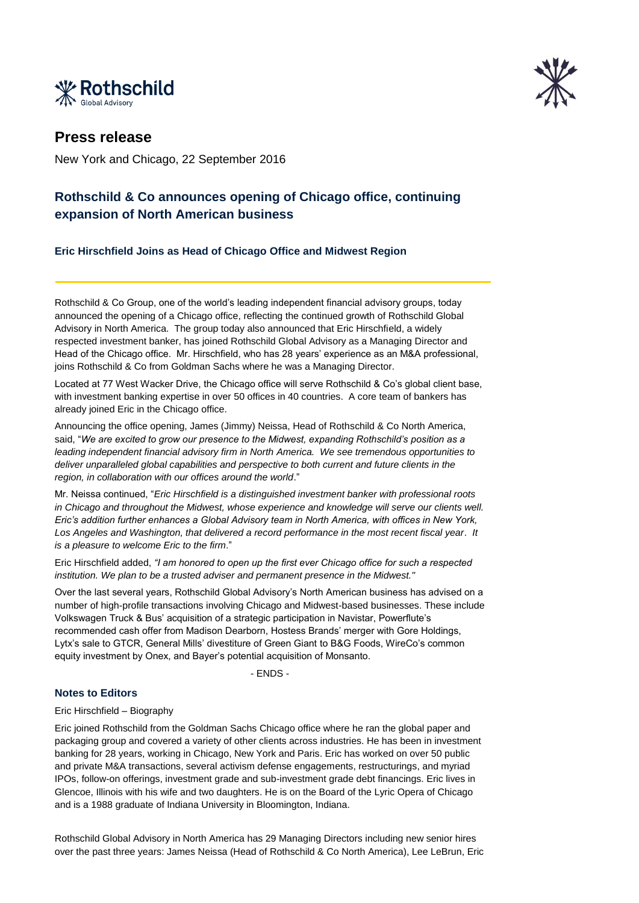



## **Press release**

New York and Chicago, 22 September 2016

# **Rothschild & Co announces opening of Chicago office, continuing expansion of North American business**

**Eric Hirschfield Joins as Head of Chicago Office and Midwest Region** 

Rothschild & Co Group, one of the world's leading independent financial advisory groups, today announced the opening of a Chicago office, reflecting the continued growth of Rothschild Global Advisory in North America. The group today also announced that Eric Hirschfield, a widely respected investment banker, has joined Rothschild Global Advisory as a Managing Director and Head of the Chicago office. Mr. Hirschfield, who has 28 years' experience as an M&A professional, joins Rothschild & Co from Goldman Sachs where he was a Managing Director.

Located at 77 West Wacker Drive, the Chicago office will serve Rothschild & Co's global client base, with investment banking expertise in over 50 offices in 40 countries. A core team of bankers has already joined Eric in the Chicago office.

Announcing the office opening, James (Jimmy) Neissa, Head of Rothschild & Co North America, said, "*We are excited to grow our presence to the Midwest, expanding Rothschild's position as a leading independent financial advisory firm in North America. We see tremendous opportunities to*  deliver unparalleled global capabilities and perspective to both current and future clients in the *region, in collaboration with our offices around the world*."

Mr. Neissa continued, "*Eric Hirschfield is a distinguished investment banker with professional roots in Chicago and throughout the Midwest, whose experience and knowledge will serve our clients well. Eric's addition further enhances a Global Advisory team in North America, with offices in New York, Los Angeles and Washington, that delivered a record performance in the most recent fiscal year*. *It is a pleasure to welcome Eric to the firm*."

Eric Hirschfield added, *"I am honored to open up the first ever Chicago office for such a respected institution. We plan to be a trusted adviser and permanent presence in the Midwest."*

Over the last several years, Rothschild Global Advisory's North American business has advised on a number of high-profile transactions involving Chicago and Midwest-based businesses. These include Volkswagen Truck & Bus' acquisition of a strategic participation in Navistar, Powerflute's recommended cash offer from Madison Dearborn, Hostess Brands' merger with Gore Holdings, Lytx's sale to GTCR, General Mills' divestiture of Green Giant to B&G Foods, WireCo's common equity investment by Onex, and Bayer's potential acquisition of Monsanto.

- ENDS -

### **Notes to Editors**

Eric Hirschfield – Biography

Eric joined Rothschild from the Goldman Sachs Chicago office where he ran the global paper and packaging group and covered a variety of other clients across industries. He has been in investment banking for 28 years, working in Chicago, New York and Paris. Eric has worked on over 50 public and private M&A transactions, several activism defense engagements, restructurings, and myriad IPOs, follow-on offerings, investment grade and sub-investment grade debt financings. Eric lives in Glencoe, Illinois with his wife and two daughters. He is on the Board of the Lyric Opera of Chicago and is a 1988 graduate of Indiana University in Bloomington, Indiana.

Rothschild Global Advisory in North America has 29 Managing Directors including new senior hires over the past three years: James Neissa (Head of Rothschild & Co North America), Lee LeBrun, Eric